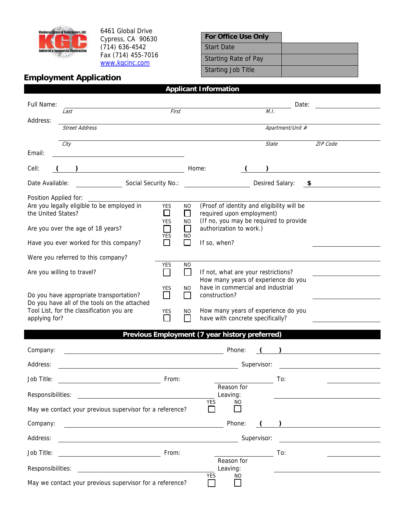

 $\overline{\phantom{a}}$ 

6461 Global Drive Cypress, CA 90630 (714) 636-4542 Fax (714) 455-7016 www.kgcinc.com

| <b>For Office Use Only</b>  |  |
|-----------------------------|--|
| <b>Start Date</b>           |  |
| <b>Starting Rate of Pay</b> |  |
| <b>Starting Job Title</b>   |  |

## **Employment Application**

| Full Name:                                                                                                                                                                                               | Last                                                                                                                                                                                                                                 | First               |                | M.I.                                                                     | Date: |                                                                                                                      |  |
|----------------------------------------------------------------------------------------------------------------------------------------------------------------------------------------------------------|--------------------------------------------------------------------------------------------------------------------------------------------------------------------------------------------------------------------------------------|---------------------|----------------|--------------------------------------------------------------------------|-------|----------------------------------------------------------------------------------------------------------------------|--|
| Address:                                                                                                                                                                                                 |                                                                                                                                                                                                                                      |                     |                |                                                                          |       |                                                                                                                      |  |
| <b>Street Address</b>                                                                                                                                                                                    |                                                                                                                                                                                                                                      |                     |                | Apartment/Unit #                                                         |       |                                                                                                                      |  |
|                                                                                                                                                                                                          | City                                                                                                                                                                                                                                 |                     |                | <b>State</b>                                                             |       | ZIP Code                                                                                                             |  |
| Email:                                                                                                                                                                                                   | <u>and the state of the state of the state of the state of the state of the state of the state of the state of the state of the state of the state of the state of the state of the state of the state of the state of the state</u> |                     |                |                                                                          |       |                                                                                                                      |  |
| Cell:                                                                                                                                                                                                    |                                                                                                                                                                                                                                      |                     |                | Home:                                                                    |       |                                                                                                                      |  |
| Social Security No.:<br>Desired Salary:<br>Date Available:<br>- \$                                                                                                                                       |                                                                                                                                                                                                                                      |                     |                |                                                                          |       |                                                                                                                      |  |
| Position Applied for:                                                                                                                                                                                    |                                                                                                                                                                                                                                      |                     |                |                                                                          |       |                                                                                                                      |  |
|                                                                                                                                                                                                          | Are you legally eligible to be employed in                                                                                                                                                                                           | <b>YES</b>          | NO.            | (Proof of identity and eligibility will be                               |       |                                                                                                                      |  |
| the United States?                                                                                                                                                                                       |                                                                                                                                                                                                                                      | □<br><b>YES</b>     | П<br><b>NO</b> | required upon employment)<br>(If no, you may be required to provide      |       |                                                                                                                      |  |
|                                                                                                                                                                                                          | Are you over the age of 18 years?                                                                                                                                                                                                    |                     | $\mathsf{L}$   | authorization to work.)                                                  |       |                                                                                                                      |  |
|                                                                                                                                                                                                          | Have you ever worked for this company?                                                                                                                                                                                               | YES<br>П            | NO.            | If so, when?                                                             |       |                                                                                                                      |  |
|                                                                                                                                                                                                          | Were you referred to this company?                                                                                                                                                                                                   |                     |                |                                                                          |       |                                                                                                                      |  |
|                                                                                                                                                                                                          | Are you willing to travel?                                                                                                                                                                                                           | YES<br>$\mathbf{I}$ | NO.            | If not, what are your restrictions?                                      |       |                                                                                                                      |  |
|                                                                                                                                                                                                          |                                                                                                                                                                                                                                      | YES                 | NO             | How many years of experience do you<br>have in commercial and industrial |       |                                                                                                                      |  |
| Do you have appropriate transportation?                                                                                                                                                                  |                                                                                                                                                                                                                                      |                     | $\mathsf{L}$   | construction?                                                            |       |                                                                                                                      |  |
|                                                                                                                                                                                                          | Do you have all of the tools on the attached<br>Tool List, for the classification you are<br>YES<br>$\mathbf{L}$<br>applying for?                                                                                                    |                     | NO.            | How many years of experience do you                                      |       |                                                                                                                      |  |
|                                                                                                                                                                                                          |                                                                                                                                                                                                                                      |                     |                | have with concrete specifically?                                         |       |                                                                                                                      |  |
|                                                                                                                                                                                                          |                                                                                                                                                                                                                                      |                     |                | Previous Employment (7 year history preferred)                           |       |                                                                                                                      |  |
| Company:                                                                                                                                                                                                 |                                                                                                                                                                                                                                      |                     |                | Phone:                                                                   |       | <u> 1989 - Jan Barbara Barat, prima popular popular popular popular popular popular popular popular popular popu</u> |  |
|                                                                                                                                                                                                          |                                                                                                                                                                                                                                      |                     |                |                                                                          |       |                                                                                                                      |  |
| Address:<br>Supervisor:                                                                                                                                                                                  |                                                                                                                                                                                                                                      |                     |                |                                                                          |       |                                                                                                                      |  |
| Job Title:                                                                                                                                                                                               |                                                                                                                                                                                                                                      | From:               |                | Reason for                                                               | To:   |                                                                                                                      |  |
| Responsibilities:<br>Leaving:                                                                                                                                                                            |                                                                                                                                                                                                                                      |                     |                |                                                                          |       |                                                                                                                      |  |
| YES<br>NO<br>May we contact your previous supervisor for a reference?                                                                                                                                    |                                                                                                                                                                                                                                      |                     |                |                                                                          |       |                                                                                                                      |  |
| Company:<br>Phone:<br>) <u>__________________</u><br><u> 1980 - Johann Barnett, fransk politik (d. 1980)</u>                                                                                             |                                                                                                                                                                                                                                      |                     |                |                                                                          |       |                                                                                                                      |  |
| Address:<br>Supervisor:<br><u> 1989 - Johann Stoff, deutscher Stoff, der Stoff, der Stoff, der Stoff, der Stoff, der Stoff, der Stoff, der S</u><br><u> 1989 - Johann Stoff, Amerikaansk politiker (</u> |                                                                                                                                                                                                                                      |                     |                |                                                                          |       |                                                                                                                      |  |
| Job Title:                                                                                                                                                                                               | From:<br><u> 1980 - Johann Barbara, martin a</u>                                                                                                                                                                                     |                     |                |                                                                          | To:   |                                                                                                                      |  |
| Reason for<br>Responsibilities:<br>Leaving:<br><u> 1980 - Johann Stein, fransk politik (d. 1980)</u>                                                                                                     |                                                                                                                                                                                                                                      |                     |                |                                                                          |       |                                                                                                                      |  |
| <b>YES</b><br>NO<br>May we contact your previous supervisor for a reference?                                                                                                                             |                                                                                                                                                                                                                                      |                     |                |                                                                          |       |                                                                                                                      |  |

**Applicant Information**